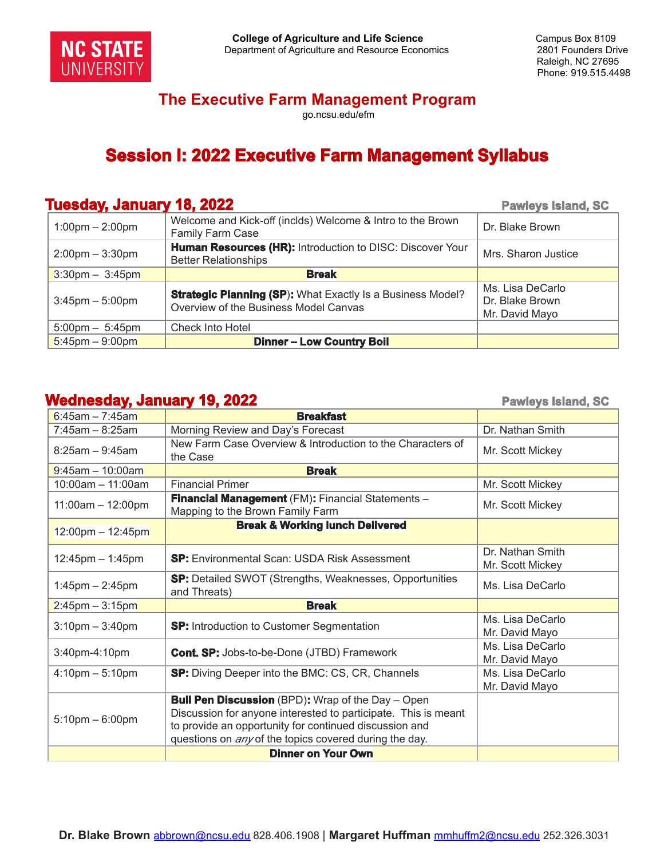

#### **The Executive Farm Management Program**

go.ncsu.edu/efm

# **Session I: 2022 Executive Farm Management Syllabus**

#### **Tuesday, January 18, 2022 Pawleys Pawleys** Island, SC

| - -<br>$1:00 \text{pm} - 2:00 \text{pm}$ | Welcome and Kick-off (inclds) Welcome & Intro to the Brown<br>Family Farm Case                             | Dr. Blake Brown                                       |
|------------------------------------------|------------------------------------------------------------------------------------------------------------|-------------------------------------------------------|
| $2:00 \text{pm} - 3:30 \text{pm}$        | <b>Human Resources (HR): Introduction to DISC: Discover Your</b><br><b>Better Relationships</b>            | Mrs. Sharon Justice                                   |
| $3:30$ pm $-3:45$ pm                     | <b>Break</b>                                                                                               |                                                       |
| $3:45$ pm $-5:00$ pm                     | <b>Strategic Planning (SP):</b> What Exactly Is a Business Model?<br>Overview of the Business Model Canvas | Ms. Lisa DeCarlo<br>Dr. Blake Brown<br>Mr. David Mayo |
| $5:00 \text{pm} - 5:45 \text{pm}$        | <b>Check Into Hotel</b>                                                                                    |                                                       |
| $5:45$ pm – 9:00pm                       | <b>Dinner-Low Country Boil</b>                                                                             |                                                       |

#### **Wednesday, January 19, 2022 Pawleys Island, SC**

| $6:45$ am - 7:45am    | <b>Breakfast</b>                                                                                                                                                                                                                                      |                                      |
|-----------------------|-------------------------------------------------------------------------------------------------------------------------------------------------------------------------------------------------------------------------------------------------------|--------------------------------------|
| $7:45am - 8:25am$     | Morning Review and Day's Forecast                                                                                                                                                                                                                     | Dr. Nathan Smith                     |
| $8:25am - 9:45am$     | New Farm Case Overview & Introduction to the Characters of<br>the Case                                                                                                                                                                                | Mr. Scott Mickey                     |
| $9:45$ am - 10:00am   | <b>Break</b>                                                                                                                                                                                                                                          |                                      |
| 10:00am - 11:00am     | <b>Financial Primer</b>                                                                                                                                                                                                                               | Mr. Scott Mickey                     |
| $11:00am - 12:00pm$   | Financial Management (FM): Financial Statements -<br>Mapping to the Brown Family Farm                                                                                                                                                                 | Mr. Scott Mickey                     |
| $12:00$ pm – 12:45pm  | <b>Break &amp; Working lunch Delivered</b>                                                                                                                                                                                                            |                                      |
| $12:45$ pm $-1:45$ pm | <b>SP:</b> Environmental Scan: USDA Risk Assessment                                                                                                                                                                                                   | Dr. Nathan Smith<br>Mr. Scott Mickey |
| $1:45$ pm $- 2:45$ pm | SP: Detailed SWOT (Strengths, Weaknesses, Opportunities<br>and Threats)                                                                                                                                                                               | Ms. Lisa DeCarlo                     |
| $2:45$ pm – 3:15pm    | <b>Break</b>                                                                                                                                                                                                                                          |                                      |
| $3:10$ pm $-3:40$ pm  | <b>SP:</b> Introduction to Customer Segmentation                                                                                                                                                                                                      | Ms. Lisa DeCarlo<br>Mr. David Mayo   |
| 3:40pm-4:10pm         | <b>Cont. SP:</b> Jobs-to-be-Done (JTBD) Framework                                                                                                                                                                                                     | Ms. Lisa DeCarlo<br>Mr. David Mayo   |
| $4:10$ pm $-5:10$ pm  | <b>SP:</b> Diving Deeper into the BMC: CS, CR, Channels                                                                                                                                                                                               | Ms. Lisa DeCarlo<br>Mr. David Mayo   |
| $5:10$ pm $-6:00$ pm  | <b>Bull Pen Discussion</b> (BPD): Wrap of the Day – Open<br>Discussion for anyone interested to participate. This is meant<br>to provide an opportunity for continued discussion and<br>questions on <i>any</i> of the topics covered during the day. |                                      |
|                       | <b>Dinner on Your Own</b>                                                                                                                                                                                                                             |                                      |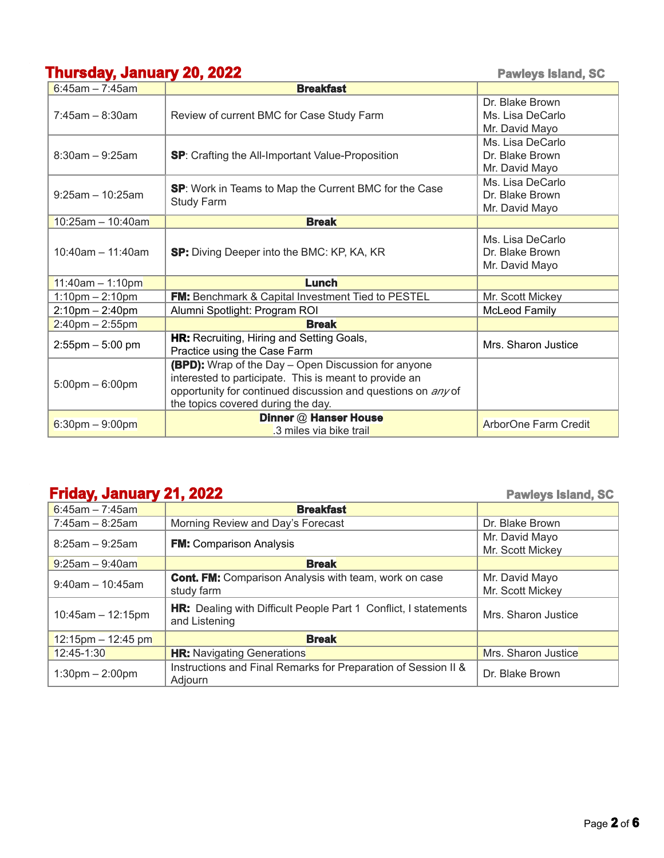# **Thursday, January 20, 2022 Pawleys Island, SC**

| $6:45$ am - 7:45am                | <b>Breakfast</b>                                                                                                                                                                                                                  |                                                       |
|-----------------------------------|-----------------------------------------------------------------------------------------------------------------------------------------------------------------------------------------------------------------------------------|-------------------------------------------------------|
| $7:45$ am - 8:30am                | Review of current BMC for Case Study Farm                                                                                                                                                                                         | Dr. Blake Brown<br>Ms. Lisa DeCarlo<br>Mr. David Mayo |
| $8:30$ am - 9:25am                | <b>SP:</b> Crafting the All-Important Value-Proposition                                                                                                                                                                           | Ms. Lisa DeCarlo<br>Dr. Blake Brown<br>Mr. David Mayo |
| $9:25am - 10:25am$                | SP: Work in Teams to Map the Current BMC for the Case<br><b>Study Farm</b>                                                                                                                                                        | Ms. Lisa DeCarlo<br>Dr. Blake Brown<br>Mr. David Mayo |
| $10:25$ am - 10:40am              | <b>Break</b>                                                                                                                                                                                                                      |                                                       |
| $10:40$ am - 11:40am              | <b>SP:</b> Diving Deeper into the BMC: KP, KA, KR                                                                                                                                                                                 | Ms. Lisa DeCarlo<br>Dr. Blake Brown<br>Mr. David Mayo |
| $11:40$ am - 1:10pm               | Lunch                                                                                                                                                                                                                             |                                                       |
| $1:10$ pm $- 2:10$ pm             | FM: Benchmark & Capital Investment Tied to PESTEL                                                                                                                                                                                 | Mr. Scott Mickey                                      |
| $2:10$ pm $- 2:40$ pm             | Alumni Spotlight: Program ROI                                                                                                                                                                                                     | McLeod Family                                         |
| $2:40$ pm – 2:55pm                | <b>Break</b>                                                                                                                                                                                                                      |                                                       |
| $2:55$ pm $-5:00$ pm              | HR: Recruiting, Hiring and Setting Goals,<br>Practice using the Case Farm                                                                                                                                                         | Mrs. Sharon Justice                                   |
| $5:00 \text{pm} - 6:00 \text{pm}$ | <b>(BPD):</b> Wrap of the Day - Open Discussion for anyone<br>interested to participate. This is meant to provide an<br>opportunity for continued discussion and questions on <i>any</i> of<br>the topics covered during the day. |                                                       |
| $6:30$ pm – 9:00pm                | Dinner @ Hanser House<br>.3 miles via bike trail                                                                                                                                                                                  | ArborOne Farm Credit                                  |

# **Friday, January 21, 2022 Pawleys Island, SC**

l,

|                                   |                                                                                         | $\sim$ - $\sim$ $\sim$ $\sim$ $\sim$ $\sim$ $\sim$ |
|-----------------------------------|-----------------------------------------------------------------------------------------|----------------------------------------------------|
| $6:45$ am - 7:45am                | <b>Breakfast</b>                                                                        |                                                    |
| $7:45am - 8:25am$                 | Morning Review and Day's Forecast                                                       | Dr. Blake Brown                                    |
| $8:25am - 9:25am$                 | <b>FM:</b> Comparison Analysis                                                          | Mr. David Mayo<br>Mr. Scott Mickey                 |
| $9:25$ am – 9:40am                | <b>Break</b>                                                                            |                                                    |
| $9:40$ am - 10:45am               | <b>Cont. FM:</b> Comparison Analysis with team, work on case<br>study farm              | Mr. David Mayo<br>Mr. Scott Mickey                 |
| $10:45am - 12:15pm$               | <b>HR:</b> Dealing with Difficult People Part 1 Conflict, I statements<br>and Listening | Mrs. Sharon Justice                                |
| $12:15$ pm – 12:45 pm             | <b>Break</b>                                                                            |                                                    |
| 12:45-1:30                        | <b>HR:</b> Navigating Generations                                                       | Mrs. Sharon Justice                                |
| $1:30 \text{pm} - 2:00 \text{pm}$ | Instructions and Final Remarks for Preparation of Session II &<br>Adiourn               | Dr. Blake Brown                                    |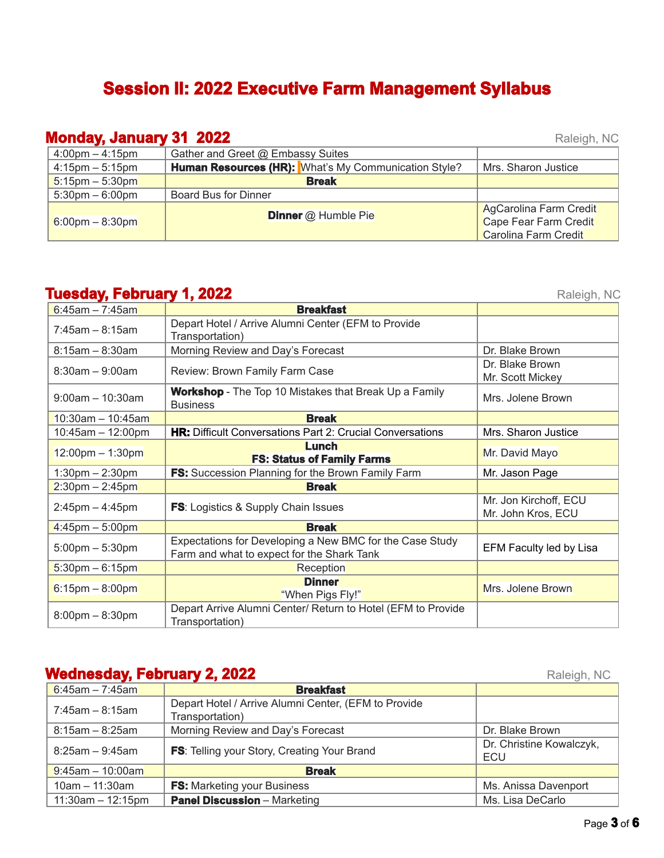# **Session II: 2022 Executive Farm Management Syllabus**

**Monday, January 31 2022** Raleigh, NC 4:00pm – 4:15pm Gather and Greet @ Embassy Suites 4:15pm – 5:15pm **Human Resources (HR):** What's My Communication Style? Mrs. Sharon Justice 5:15pm – 5:30pm **Break**  $5:30 \text{pm} - 6:00 \text{pm}$  Board Bus for Dinner 6:00pm – 8:30pm **Dinner** @ Humble Pie AgCarolina Farm Credit Cape Fear Farm Credit Carolina Farm Credit

## **Tuesday, February 1, 2022** Raleigh, NC

| $6:45am - 7:45am$                  | <b>Breakfast</b>                                                                |                         |
|------------------------------------|---------------------------------------------------------------------------------|-------------------------|
| $7:45$ am – 8:15am                 | Depart Hotel / Arrive Alumni Center (EFM to Provide                             |                         |
|                                    | Transportation)                                                                 |                         |
| $8:15am - 8:30am$                  | Morning Review and Day's Forecast                                               | Dr. Blake Brown         |
|                                    |                                                                                 | Dr. Blake Brown         |
| $8:30$ am $-9:00$ am               | Review: Brown Family Farm Case                                                  | Mr. Scott Mickey        |
| $9:00am - 10:30am$                 | <b>Workshop</b> - The Top 10 Mistakes that Break Up a Family<br><b>Business</b> | Mrs. Jolene Brown       |
| 10:30am $-$ 10:45am                | <b>Break</b>                                                                    |                         |
| 10:45am - 12:00pm                  | HR: Difficult Conversations Part 2: Crucial Conversations                       | Mrs. Sharon Justice     |
|                                    | Lunch                                                                           |                         |
| $12:00 \text{pm} - 1:30 \text{pm}$ | <b>FS: Status of Family Farms</b>                                               | Mr. David Mayo          |
| $1:30$ pm $- 2:30$ pm              | <b>FS:</b> Succession Planning for the Brown Family Farm                        | Mr. Jason Page          |
| $2:30$ pm – 2:45pm                 | <b>Break</b>                                                                    |                         |
| $2:45$ pm $-4:45$ pm               | <b>FS:</b> Logistics & Supply Chain Issues                                      | Mr. Jon Kirchoff, ECU   |
|                                    |                                                                                 | Mr. John Kros, ECU      |
| $4:45$ pm – 5:00pm                 | <b>Break</b>                                                                    |                         |
|                                    | Expectations for Developing a New BMC for the Case Study                        |                         |
| $5:00 \text{pm} - 5:30 \text{pm}$  | Farm and what to expect for the Shark Tank                                      | EFM Faculty led by Lisa |
| $5:30$ pm – 6:15pm                 | Reception                                                                       |                         |
|                                    | <b>Dinner</b>                                                                   |                         |
| $6:15$ pm – 8:00pm                 | "When Pigs Fly!"                                                                | Mrs. Jolene Brown       |
|                                    | Depart Arrive Alumni Center/ Return to Hotel (EFM to Provide                    |                         |
| $8:00$ pm $- 8:30$ pm              | Transportation)                                                                 |                         |

#### **Wednesday, February 2, 2022 Raleigh, NC** Raleigh, NC

6:45am – 7:45am **Breakfast** 7:45am – 8:15am Depart Hotel / Arrive Alumni Center, (EFM to Provide Transportation) 8:15am – 8:25am Morning Review and Day's Forecast Brown Number 2016 10: Blake Brown 8:25am – 9:45am **FS**: Telling your Story, Creating Your Brand Dr. Christine Kowalczyk, ECU 9:45am – 10:00am **Break** 10am – 11:30am **FS:** Marketing your Business Mathematic Music Music Anissa Davenport 11:30am – 12:15pm **Panel Discussion** – Marketing Ms. Lisa DeCarlo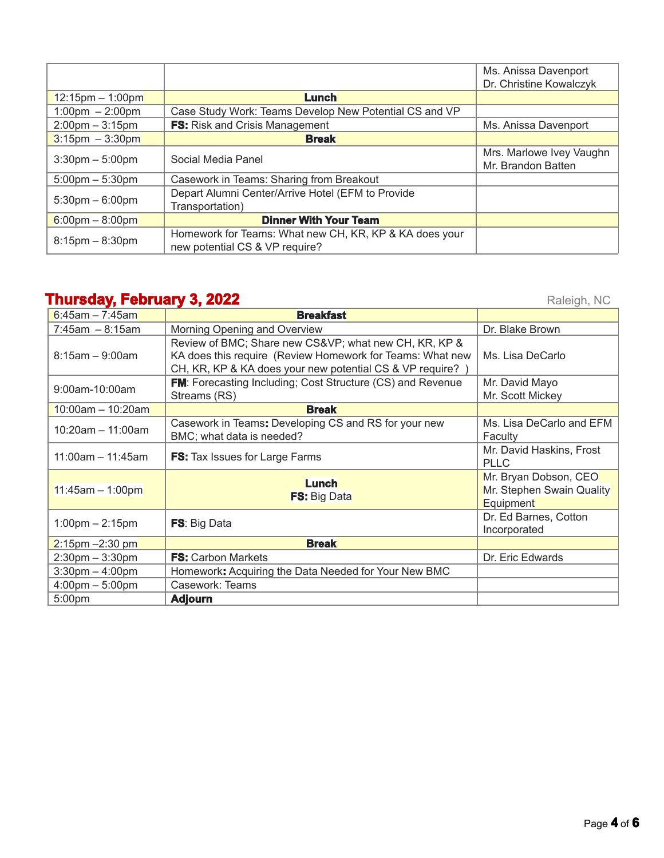|                                   |                                                                                          | Ms. Anissa Davenport<br>Dr. Christine Kowalczyk |
|-----------------------------------|------------------------------------------------------------------------------------------|-------------------------------------------------|
| $12:15$ pm – 1:00pm               | Lunch                                                                                    |                                                 |
| $1:00 \text{pm} - 2:00 \text{pm}$ | Case Study Work: Teams Develop New Potential CS and VP                                   |                                                 |
| $2:00 \text{pm} - 3:15 \text{pm}$ | <b>FS:</b> Risk and Crisis Management                                                    | Ms. Anissa Davenport                            |
| $3:15$ pm $-3:30$ pm              | <b>Break</b>                                                                             |                                                 |
| $3:30$ pm $-5:00$ pm              | Social Media Panel                                                                       | Mrs. Marlowe Ivey Vaughn<br>Mr. Brandon Batten  |
| $5:00 \text{pm} - 5:30 \text{pm}$ | Casework in Teams: Sharing from Breakout                                                 |                                                 |
| $5:30 \text{pm} - 6:00 \text{pm}$ | Depart Alumni Center/Arrive Hotel (EFM to Provide<br>Transportation)                     |                                                 |
| $6:00$ pm – 8:00pm                | <b>Dinner With Your Team</b>                                                             |                                                 |
| $8:15$ pm $-8:30$ pm              | Homework for Teams: What new CH, KR, KP & KA does your<br>new potential CS & VP require? |                                                 |

# **Thursday, February 3, 2022** Raleigh, NC

| $6:45am - 7:45am$                 | <b>Breakfast</b>                                                                                                                                                              |                                                                 |
|-----------------------------------|-------------------------------------------------------------------------------------------------------------------------------------------------------------------------------|-----------------------------------------------------------------|
| $7:45am - 8:15am$                 | Morning Opening and Overview                                                                                                                                                  | Dr. Blake Brown                                                 |
| $8:15am - 9:00am$                 | Review of BMC; Share new CS&VP what new CH, KR, KP &<br>KA does this require (Review Homework for Teams: What new<br>CH, KR, KP & KA does your new potential CS & VP require? | Ms. Lisa DeCarlo                                                |
| 9:00am-10:00am                    | FM: Forecasting Including; Cost Structure (CS) and Revenue<br>Streams (RS)                                                                                                    | Mr. David Mayo<br>Mr. Scott Mickey                              |
| $10:00$ am - 10:20am              | <b>Break</b>                                                                                                                                                                  |                                                                 |
| $10:20am - 11:00am$               | Casework in Teams: Developing CS and RS for your new<br>BMC; what data is needed?                                                                                             | Ms. Lisa DeCarlo and EFM<br>Faculty                             |
| $11:00$ am - 11:45am              | <b>FS:</b> Tax Issues for Large Farms                                                                                                                                         | Mr. David Haskins, Frost<br><b>PLLC</b>                         |
| $11:45am - 1:00pm$                | Lunch<br><b>FS:</b> Big Data                                                                                                                                                  | Mr. Bryan Dobson, CEO<br>Mr. Stephen Swain Quality<br>Equipment |
| $1:00 \text{pm} - 2:15 \text{pm}$ | <b>FS:</b> Big Data                                                                                                                                                           | Dr. Ed Barnes, Cotton<br>Incorporated                           |
| $2:15$ pm $-2:30$ pm              | <b>Break</b>                                                                                                                                                                  |                                                                 |
| $2:30$ pm $-3:30$ pm              | <b>FS:</b> Carbon Markets                                                                                                                                                     | Dr. Eric Edwards                                                |
| $3:30$ pm $-4:00$ pm              | Homework: Acquiring the Data Needed for Your New BMC                                                                                                                          |                                                                 |
| $4:00 \text{pm} - 5:00 \text{pm}$ | Casework: Teams                                                                                                                                                               |                                                                 |
| 5:00 <sub>pm</sub>                | <b>Adjourn</b>                                                                                                                                                                |                                                                 |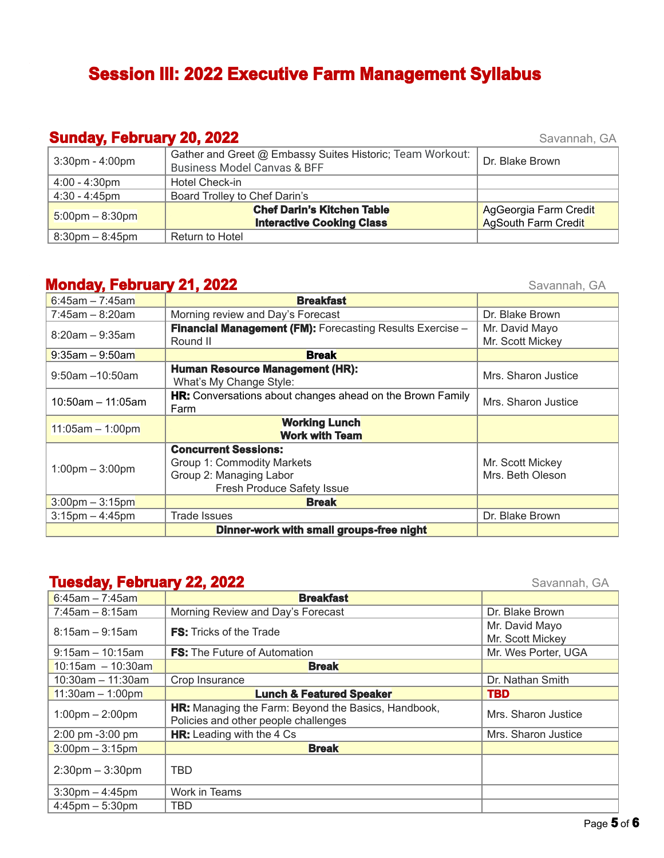# **Session III: 2022 Executive Farm Management Syllabus**

### **Sunday, February 20, 2022** Savannah, GA

| - - -                   |                                                                                                     |                                              |
|-------------------------|-----------------------------------------------------------------------------------------------------|----------------------------------------------|
| $3:30$ pm - $4:00$ pm   | Gather and Greet @ Embassy Suites Historic; Team Workout:<br><b>Business Model Canvas &amp; BFF</b> | Dr. Blake Brown                              |
| $4:00 - 4:30 \text{pm}$ | Hotel Check-in                                                                                      |                                              |
| $4:30 - 4:45$ pm        | Board Trolley to Chef Darin's                                                                       |                                              |
| $5:00$ pm – 8:30pm      | <b>Chef Darin's Kitchen Table</b><br><b>Interactive Cooking Class</b>                               | AgGeorgia Farm Credit<br>AgSouth Farm Credit |
| $8:30$ pm $-8:45$ pm    | Return to Hotel                                                                                     |                                              |

## **Monday, February 21, 2022** Savannah, GA

| $6:45$ am - 7:45am                | <b>Breakfast</b>                                                  |                     |
|-----------------------------------|-------------------------------------------------------------------|---------------------|
| $7:45am - 8:20am$                 | Morning review and Day's Forecast                                 | Dr. Blake Brown     |
| $8:20am - 9:35am$                 | <b>Financial Management (FM):</b> Forecasting Results Exercise -  | Mr. David Mayo      |
|                                   | Round II                                                          | Mr. Scott Mickey    |
| $9:35$ am – 9:50am                | <b>Break</b>                                                      |                     |
| $9:50$ am $-10:50$ am             | <b>Human Resource Management (HR):</b><br>What's My Change Style: | Mrs. Sharon Justice |
| $10:50$ am - 11:05am              | HR: Conversations about changes ahead on the Brown Family<br>Farm | Mrs. Sharon Justice |
| $11:05am - 1:00pm$                | <b>Working Lunch</b><br><b>Work with Team</b>                     |                     |
|                                   | <b>Concurrent Sessions:</b>                                       |                     |
| $1:00 \text{pm} - 3:00 \text{pm}$ | Group 1: Commodity Markets                                        | Mr. Scott Mickey    |
|                                   | Group 2: Managing Labor                                           | Mrs. Beth Oleson    |
|                                   | <b>Fresh Produce Safety Issue</b>                                 |                     |
| $3:00 \text{pm} - 3:15 \text{pm}$ | <b>Break</b>                                                      |                     |
| $3:15$ pm $-4:45$ pm              | <b>Trade Issues</b>                                               | Dr. Blake Brown     |
|                                   |                                                                   |                     |

# **Tuesday, February 22, 2022** Savannah, GA

| $6:45$ am - 7:45am                | <b>Breakfast</b>                                                                                   |                                    |
|-----------------------------------|----------------------------------------------------------------------------------------------------|------------------------------------|
| $7:45am - 8:15am$                 | Morning Review and Day's Forecast                                                                  | Dr. Blake Brown                    |
| $8:15am - 9:15am$                 | <b>FS:</b> Tricks of the Trade                                                                     | Mr. David Mayo<br>Mr. Scott Mickey |
| $9:15am - 10:15am$                | <b>FS:</b> The Future of Automation                                                                | Mr. Wes Porter, UGA                |
| $10:15$ am - 10:30am              | <b>Break</b>                                                                                       |                                    |
| $10:30$ am - 11:30am              | Crop Insurance                                                                                     | Dr. Nathan Smith                   |
| $11:30am - 1:00pm$                | <b>Lunch &amp; Featured Speaker</b>                                                                | <b>TBD</b>                         |
| $1:00 \text{pm} - 2:00 \text{pm}$ | <b>HR:</b> Managing the Farm: Beyond the Basics, Handbook,<br>Policies and other people challenges | Mrs. Sharon Justice                |
| 2:00 pm -3:00 pm                  | <b>HR:</b> Leading with the 4 Cs                                                                   | Mrs. Sharon Justice                |
| $3:00 \text{pm} - 3:15 \text{pm}$ | <b>Break</b>                                                                                       |                                    |
| $2:30$ pm $-3:30$ pm              | <b>TBD</b>                                                                                         |                                    |
| $3:30$ pm $-4:45$ pm              | Work in Teams                                                                                      |                                    |
| $4:45$ pm $-5:30$ pm              | <b>TBD</b>                                                                                         |                                    |